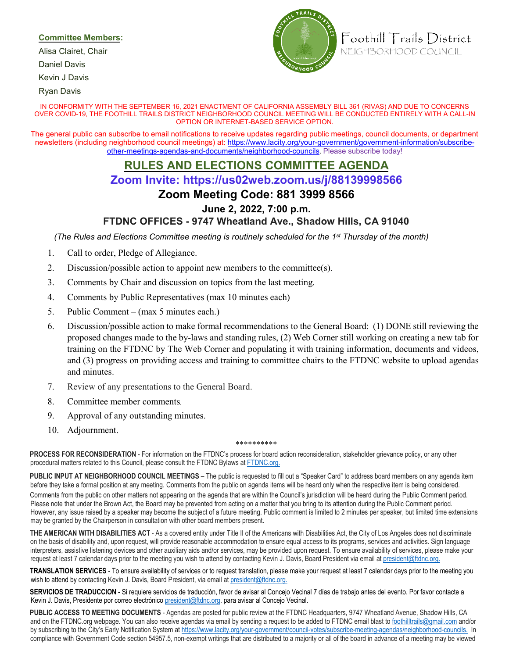### **Committee Members:**

Alisa Clairet, Chair

Daniel Davis

Kevin J Davis

Ryan Davis



Foothill Trails District NEIGHBORHOOD COUNCIL

#### IN CONFORMITY WITH THE SEPTEMBER 16, 2021 ENACTMENT OF CALIFORNIA ASSEMBLY BILL 361 (RIVAS) AND DUE TO CONCERNS OVER COVID-19, THE FOOTHILL TRAILS DISTRICT NEIGHBORHOOD COUNCIL MEETING WILL BE CONDUCTED ENTIRELY WITH A CALL-IN OPTION OR INTERNET-BASED SERVICE OPTION.

The general public can subscribe to email notifications to receive updates regarding public meetings, council documents, or department newsletters (including neighborhood council meetings) at: [https://www.lacity.org/your-government/government-information/subscribe](https://www.lacity.org/your-government/government-information/subscribe-other-meetings-agendas-and-documents/neighborhood-councils)[other-meetings-agendas-and-documents/neighborhood-councils.](https://www.lacity.org/your-government/government-information/subscribe-other-meetings-agendas-and-documents/neighborhood-councils) Please subscribe today!

# **RULES AND ELECTIONS COMMITTEE AGENDA**

# **Zoom Invite: https://us02web.zoom.us/j/88139998566**

## **Zoom Meeting Code: 881 3999 8566**

### **June 2, 2022, 7:00 p.m.**

### **FTDNC OFFICES - 9747 Wheatland Ave., Shadow Hills, CA 91040**

*(The Rules and Elections Committee meeting is routinely scheduled for the 1st Thursday of the month)*

- 1. Call to order, Pledge of Allegiance.
- 2. Discussion/possible action to appoint new members to the committee(s).
- 3. Comments by Chair and discussion on topics from the last meeting.
- 4. Comments by Public Representatives (max 10 minutes each)
- 5. Public Comment (max 5 minutes each.)
- 6. Discussion/possible action to make formal recommendations to the General Board: (1) DONE still reviewing the proposed changes made to the by-laws and standing rules, (2) Web Corner still working on creating a new tab for training on the FTDNC by The Web Corner and populating it with training information, documents and videos, and (3) progress on providing access and training to committee chairs to the FTDNC website to upload agendas and minutes.
- 7. Review of any presentations to the General Board.
- 8. Committee member comments.
- 9. Approval of any outstanding minutes.
- 10. Adjournment.

#### \*\*\*\*\*\*\*\*\*\*

**PROCESS FOR RECONSIDERATION** - For information on the FTDNC's process for board action reconsideration, stakeholder grievance policy, or any other procedural matters related to this Council, please consult the FTDNC Bylaws [at](http://ftdnc.org/) [FTDNC.org.](http://ftdnc.org/)

**PUBLIC INPUT AT NEIGHBORHOOD COUNCIL MEETINGS** – The public is requested to fill out a "Speaker Card" to address board members on any agenda item before they take a formal position at any meeting. Comments from the public on agenda items will be heard only when the respective item is being considered. Comments from the public on other matters not appearing on the agenda that are within the Council's jurisdiction will be heard during the Public Comment period. Please note that under the Brown Act, the Board may be prevented from acting on a matter that you bring to its attention during the Public Comment period.

However, any issue raised by a speaker may become the subject of a future meeting. Public comment is limited to 2 minutes per speaker, but limited time extensions may be granted by the Chairperson in consultation with other board members present.

**THE AMERICAN WITH DISABILITIES ACT** - As a covered entity under Title II of the Americans with Disabilities Act, the City of Los Angeles does not discriminate on the basis of disability and, upon request, will provide reasonable accommodation to ensure equal access to its programs, services and activities. Sign language interpreters, assistive listening devices and other auxiliary aids and/or services, may be provided upon request. To ensure availability of services, please make your request at least 7 calendar days prior to the meeting you wish to attend by contacting Kevin J. Davis, Board President via email at president@ftdnc.org.

**TRANSLATION SERVICES -** To ensure availability of services or to request translation, please make your request at least 7 calendar days prior to the meeting you wish to attend by contacting Kevin J. Davis, Board President, via email at president@ftdnc.org.

**SERVICIOS DE TRADUCCION -** Si requiere servicios de traducción, favor de avisar al Concejo Vecinal 7 días de trabajo antes del evento. Por favor contacte a Kevin J. Davis, Presidente por correo electrónico president@ftdnc.org. para avisar al Concejo Vecinal.

**PUBLIC ACCESS TO MEETING DOCUMENTS** - Agendas are posted for public review at the FTDNC Headquarters, 9747 Wheatland Avenue, Shadow Hills, CA and on the FTDNC.org webpage. You can also receive agendas via email by sending a request to be added to FTDNC email blast to foothilltrails@gmail.com and/or by subscribing to the City's Early Notific[at](https://www.lacity.org/your-government/council-votes/subscribe-meeting-agendas/neighborhood-councils.)ion System at [https://www.lacity.org/your-government/council-votes/subscribe-meeting-agendas/neighborhood-councils. In](https://www.lacity.org/your-government/council-votes/subscribe-meeting-agendas/neighborhood-councils.) compliance with Government Code section 54957.5, non-exempt writings that are distributed to a majority or all of the board in advance of a meeting may be viewed